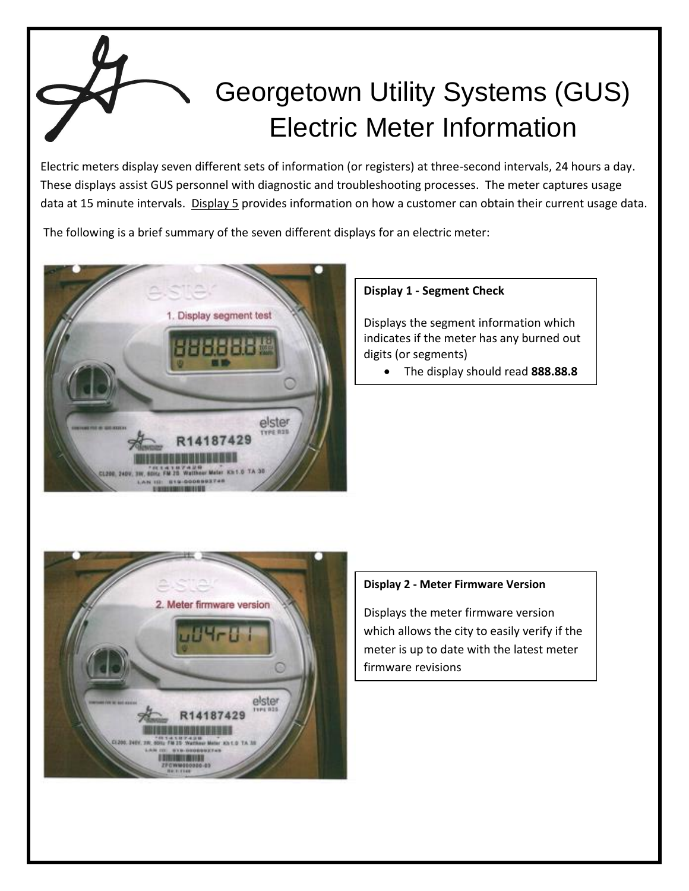# Georgetown Utility Systems (GUS) Electric Meter Information

Electric meters display seven different sets of information (or registers) at three-second intervals, 24 hours a day. These displays assist GUS personnel with diagnostic and troubleshooting processes. The meter captures usage data at 15 minute intervals. Display 5 provides information on how a customer can obtain their current usage data.

The following is a brief summary of the seven different displays for an electric meter:



### **Display 1 - Segment Check**

Displays the segment information which indicates if the meter has any burned out digits (or segments)

The display should read **888.88.8**



### **Display 2 - Meter Firmware Version**

Displays the meter firmware version which allows the city to easily verify if the meter is up to date with the latest meter firmware revisions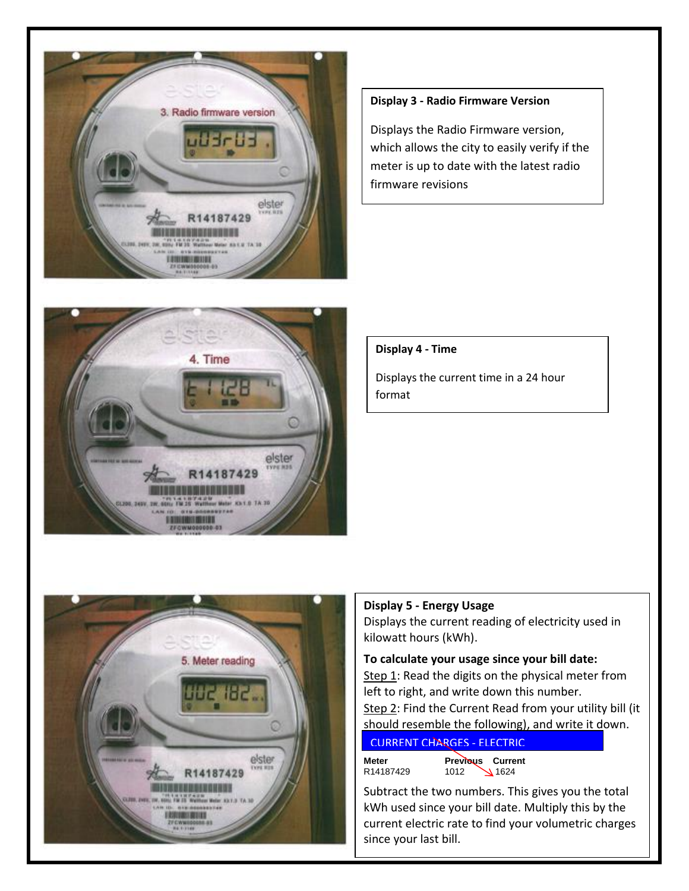

#### **Display 3 - Radio Firmware Version**

Displays the Radio Firmware version, which allows the city to easily verify if the meter is up to date with the latest radio firmware revisions

4. Time

elster

14187429

L100, 245V, SW, 64

#### **Display 4 - Time**

Displays the current time in a 24 hour format



## **Display 5 - Energy Usage**

Displays the current reading of electricity used in kilowatt hours (kWh).

#### **To calculate your usage since your bill date:**

Step 1: Read the digits on the physical meter from left to right, and write down this number. Step 2: Find the Current Read from your utility bill (it should resemble the following), and write it down.

#### CURRENT **C CURRENT CHARGES - ELECTRIC**

**Meter Previous Current**  R14187429 1012 1624

Subtract the two numbers. This gives you the total kWh used since your bill date. Multiply this by the current electric rate to find your volumetric charges since your last bill.